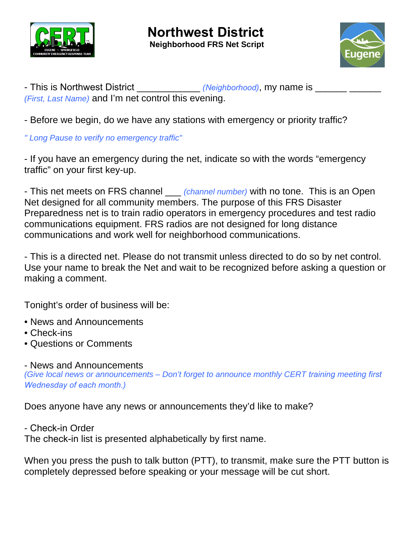



- This is Northwest District \_\_\_\_\_\_\_\_\_\_\_\_\_ *(Neighborhood)*, my name is \_\_\_\_\_\_\_\_ *(First, Last Name)* and I'm net control this evening.

- Before we begin, do we have any stations with emergency or priority traffic?

*" Long Pause to verify no emergency traffic"* 

- If you have an emergency during the net, indicate so with the words "emergency traffic" on your first key-up.

- This net meets on FRS channel \_\_\_ *(channel number)* with no tone. This is an Open Net designed for all community members. The purpose of this FRS Disaster Preparedness net is to train radio operators in emergency procedures and test radio communications equipment. FRS radios are not designed for long distance communications and work well for neighborhood communications.

- This is a directed net. Please do not transmit unless directed to do so by net control. Use your name to break the Net and wait to be recognized before asking a question or making a comment.

Tonight's order of business will be:

- News and Announcements
- Check-ins
- Questions or Comments

- News and Announcements

*(Give local news or announcements – Don't forget to announce monthly CERT training meeting first Wednesday of each month.)*

Does anyone have any news or announcements they'd like to make?

- Check-in Order

The check-in list is presented alphabetically by first name.

When you press the push to talk button (PTT), to transmit, make sure the PTT button is completely depressed before speaking or your message will be cut short.